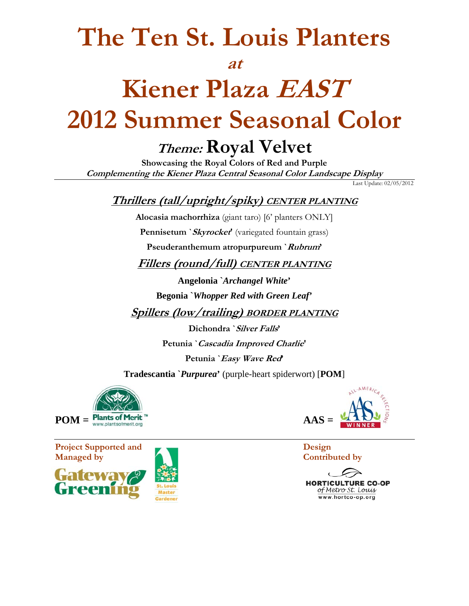## **The Ten St. Louis Planters**

#### **at**

# **Kiener Plaza EAST 2012 Summer Seasonal Color**

### **Theme: Royal Velvet**

**Showcasing the Royal Colors of Red and Purple Complementing the Kiener Plaza Central Seasonal Color Landscape Display** 

Last Update: 02/05/2012

### **Thrillers (tall/upright/spiky) CENTER PLANTING**

**Alocasia machorrhiza** (giant taro) [6' planters ONLY]

**Pennisetum `Skyrocket'** (variegated fountain grass)

**Pseuderanthemum atropurpureum `Rubrum'** 

**Fillers (round/full) CENTER PLANTING**

**Angelonia `***Archangel White***'** 

**Begonia `***Whopper Red with Green Leaf***'**

**Spillers (low/trailing) BORDER PLANTING**

**Dichondra `Silver Falls' Petunia `Cascadia Improved Charlie' Petunia `Easy Wave Red'** 

**Tradescantia `***Purpurea***'** (purple-heart spiderwort) [**POM**]



**Project Supported and Design CONSERVANTS Managed by Contributed by** Contributed by 





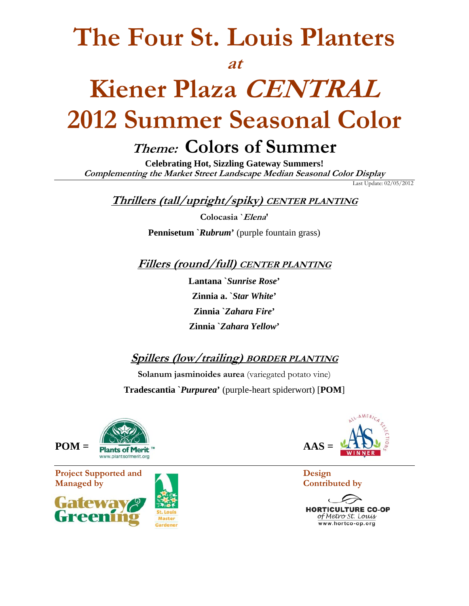## **The Four St. Louis Planters**

#### **at**

# **Kiener Plaza CENTRAL 2012 Summer Seasonal Color**

## **Theme: Colors of Summer**

**Celebrating Hot, Sizzling Gateway Summers! Complementing the Market Street Landscape Median Seasonal Color Display** 

Last Update: 02/05/2012

**Thrillers (tall/upright/spiky) CENTER PLANTING**

**Colocasia `Elena' Pennisetum `***Rubrum***'** (purple fountain grass)

**Fillers (round/full) CENTER PLANTING**

**Lantana `***Sunrise Rose***' Zinnia a. `***Star White***' Zinnia `***Zahara Fire***' Zinnia `***Zahara Yellow***'**

**Spillers (low/trailing) BORDER PLANTING**

**Solanum jasminoides aurea** (variegated potato vine) **Tradescantia `***Purpurea***'** (purple-heart spiderwort) [**POM**]



**Project Supported and Design Managed by Contributed by** Contributed by





**HORTICULTURE CO-OP** of Metro St. Louis www.hortco-op.org